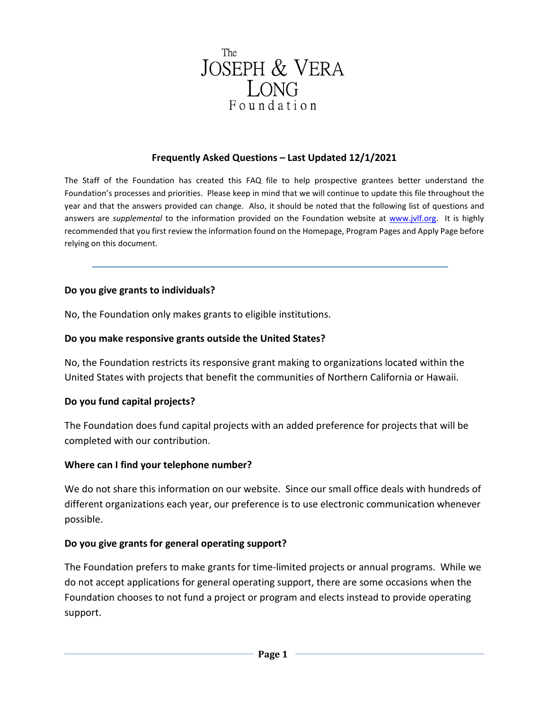

#### **Frequently Asked Questions – Last Updated 12/1/2021**

The Staff of the Foundation has created this FAQ file to help prospective grantees better understand the Foundation's processes and priorities. Please keep in mind that we will continue to update this file throughout the year and that the answers provided can change. Also, it should be noted that the following list of questions and answers are *supplemental* to the information provided on the Foundation website at [www.jvlf.org.](http://www.jvlf.org/) It is highly recommended that you first review the information found on the Homepage, Program Pages and Apply Page before relying on this document.

#### **Do you give grants to individuals?**

No, the Foundation only makes grants to eligible institutions.

#### **Do you make responsive grants outside the United States?**

No, the Foundation restricts its responsive grant making to organizations located within the United States with projects that benefit the communities of Northern California or Hawaii.

#### **Do you fund capital projects?**

The Foundation does fund capital projects with an added preference for projects that will be completed with our contribution.

#### **Where can I find your telephone number?**

We do not share this information on our website. Since our small office deals with hundreds of different organizations each year, our preference is to use electronic communication whenever possible.

#### **Do you give grants for general operating support?**

The Foundation prefers to make grants for time-limited projects or annual programs. While we do not accept applications for general operating support, there are some occasions when the Foundation chooses to not fund a project or program and elects instead to provide operating support.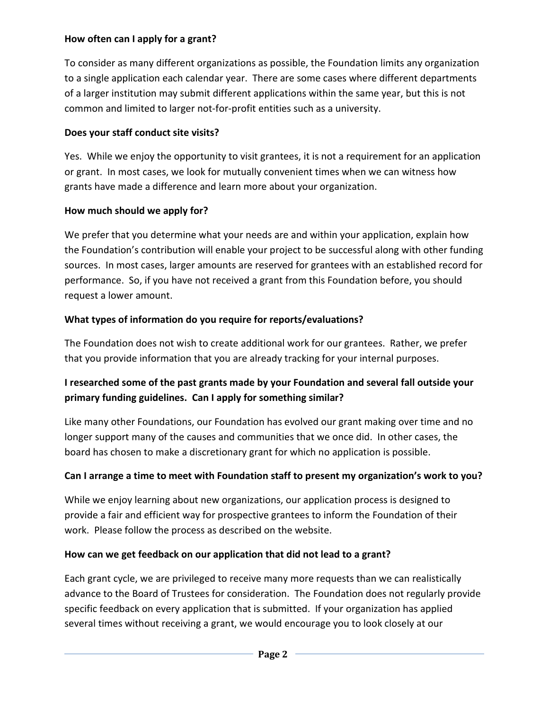### **How often can I apply for a grant?**

To consider as many different organizations as possible, the Foundation limits any organization to a single application each calendar year. There are some cases where different departments of a larger institution may submit different applications within the same year, but this is not common and limited to larger not-for-profit entities such as a university.

## **Does your staff conduct site visits?**

Yes. While we enjoy the opportunity to visit grantees, it is not a requirement for an application or grant. In most cases, we look for mutually convenient times when we can witness how grants have made a difference and learn more about your organization.

## **How much should we apply for?**

We prefer that you determine what your needs are and within your application, explain how the Foundation's contribution will enable your project to be successful along with other funding sources. In most cases, larger amounts are reserved for grantees with an established record for performance. So, if you have not received a grant from this Foundation before, you should request a lower amount.

# **What types of information do you require for reports/evaluations?**

The Foundation does not wish to create additional work for our grantees. Rather, we prefer that you provide information that you are already tracking for your internal purposes.

# **I researched some of the past grants made by your Foundation and several fall outside your primary funding guidelines. Can I apply for something similar?**

Like many other Foundations, our Foundation has evolved our grant making over time and no longer support many of the causes and communities that we once did. In other cases, the board has chosen to make a discretionary grant for which no application is possible.

# **Can I arrange a time to meet with Foundation staff to present my organization's work to you?**

While we enjoy learning about new organizations, our application process is designed to provide a fair and efficient way for prospective grantees to inform the Foundation of their work. Please follow the process as described on the website.

## **How can we get feedback on our application that did not lead to a grant?**

Each grant cycle, we are privileged to receive many more requests than we can realistically advance to the Board of Trustees for consideration. The Foundation does not regularly provide specific feedback on every application that is submitted. If your organization has applied several times without receiving a grant, we would encourage you to look closely at our